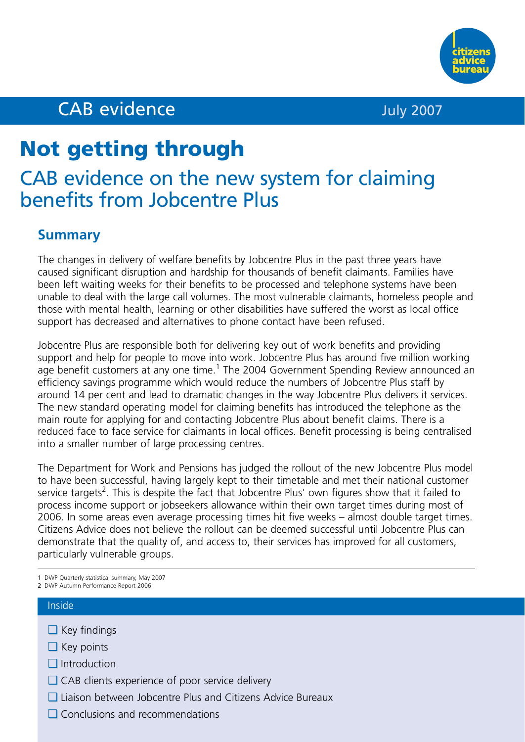

# CAB evidence July 2007

# **Not getting through**

# CAB evidence on the new system for claiming benefits from Jobcentre Plus

# **Summary**

The changes in delivery of welfare benefits by Jobcentre Plus in the past three years have caused significant disruption and hardship for thousands of benefit claimants. Families have been left waiting weeks for their benefits to be processed and telephone systems have been unable to deal with the large call volumes. The most vulnerable claimants, homeless people and those with mental health, learning or other disabilities have suffered the worst as local office support has decreased and alternatives to phone contact have been refused.

Jobcentre Plus are responsible both for delivering key out of work benefits and providing support and help for people to move into work. Jobcentre Plus has around five million working age benefit customers at any one time.<sup>1</sup> The 2004 Government Spending Review announced an efficiency savings programme which would reduce the numbers of Jobcentre Plus staff by around 14 per cent and lead to dramatic changes in the way Jobcentre Plus delivers it services. The new standard operating model for claiming benefits has introduced the telephone as the main route for applying for and contacting Jobcentre Plus about benefit claims. There is a reduced face to face service for claimants in local offices. Benefit processing is being centralised into a smaller number of large processing centres.

The Department for Work and Pensions has judged the rollout of the new Jobcentre Plus model to have been successful, having largely kept to their timetable and met their national customer service targets<sup>2</sup>. This is despite the fact that Jobcentre Plus' own figures show that it failed to process income support or jobseekers allowance within their own target times during most of 2006. In some areas even average processing times hit five weeks – almost double target times. Citizens Advice does not believe the rollout can be deemed successful until Jobcentre Plus can demonstrate that the quality of, and access to, their services has improved for all customers, particularly vulnerable groups.

#### Inside

- ❑ Key findings
- ❑ Key points
- ❑ Introduction
- ❑ CAB clients experience of poor service delivery
- ❑ Liaison between Jobcentre Plus and Citizens Advice Bureaux
- ❑ Conclusions and recommendations

<sup>1</sup> DWP Quarterly statistical summary, May 2007

<sup>2</sup> DWP Autumn Performance Report 2006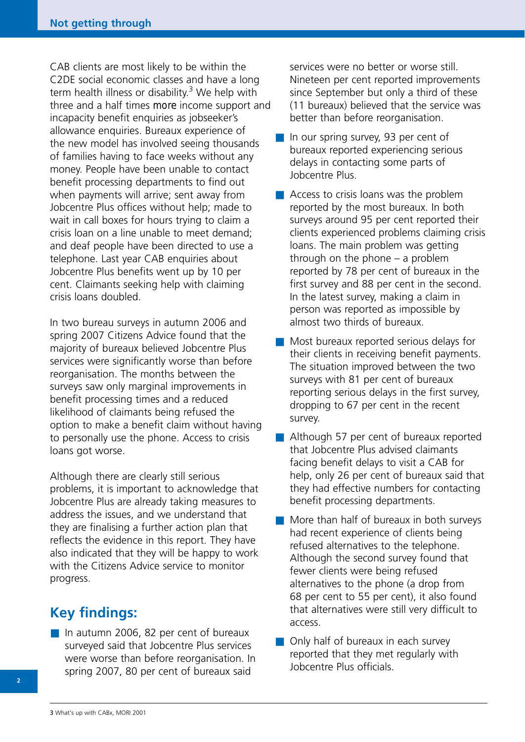CAB clients are most likely to be within the C2DE social economic classes and have a long term health illness or disability.<sup>3</sup> We help with three and a half times more income support and incapacity benefit enquiries as jobseeker's allowance enquiries. Bureaux experience of the new model has involved seeing thousands of families having to face weeks without any money. People have been unable to contact benefit processing departments to find out when payments will arrive; sent away from Jobcentre Plus offices without help; made to wait in call boxes for hours trying to claim a crisis loan on a line unable to meet demand; and deaf people have been directed to use a telephone. Last year CAB enquiries about Jobcentre Plus benefits went up by 10 per cent. Claimants seeking help with claiming crisis loans doubled.

In two bureau surveys in autumn 2006 and spring 2007 Citizens Advice found that the majority of bureaux believed Jobcentre Plus services were significantly worse than before reorganisation. The months between the surveys saw only marginal improvements in benefit processing times and a reduced likelihood of claimants being refused the option to make a benefit claim without having to personally use the phone. Access to crisis loans got worse.

Although there are clearly still serious problems, it is important to acknowledge that Jobcentre Plus are already taking measures to address the issues, and we understand that they are finalising a further action plan that reflects the evidence in this report. They have also indicated that they will be happy to work with the Citizens Advice service to monitor progress.

# **Key findings:**

■ In autumn 2006, 82 per cent of bureaux surveyed said that Jobcentre Plus services were worse than before reorganisation. In spring 2007, 80 per cent of bureaux said

services were no better or worse still. Nineteen per cent reported improvements since September but only a third of these (11 bureaux) believed that the service was better than before reorganisation.

- In our spring survey, 93 per cent of bureaux reported experiencing serious delays in contacting some parts of Jobcentre Plus.
- Access to crisis loans was the problem reported by the most bureaux. In both surveys around 95 per cent reported their clients experienced problems claiming crisis loans. The main problem was getting through on the phone – a problem reported by 78 per cent of bureaux in the first survey and 88 per cent in the second. In the latest survey, making a claim in person was reported as impossible by almost two thirds of bureaux.
- Most bureaux reported serious delays for their clients in receiving benefit payments. The situation improved between the two surveys with 81 per cent of bureaux reporting serious delays in the first survey, dropping to 67 per cent in the recent survey.
- Although 57 per cent of bureaux reported that Jobcentre Plus advised claimants facing benefit delays to visit a CAB for help, only 26 per cent of bureaux said that they had effective numbers for contacting benefit processing departments.
- More than half of bureaux in both surveys had recent experience of clients being refused alternatives to the telephone. Although the second survey found that fewer clients were being refused alternatives to the phone (a drop from 68 per cent to 55 per cent), it also found that alternatives were still very difficult to access.
- Only half of bureaux in each survey reported that they met regularly with Jobcentre Plus officials.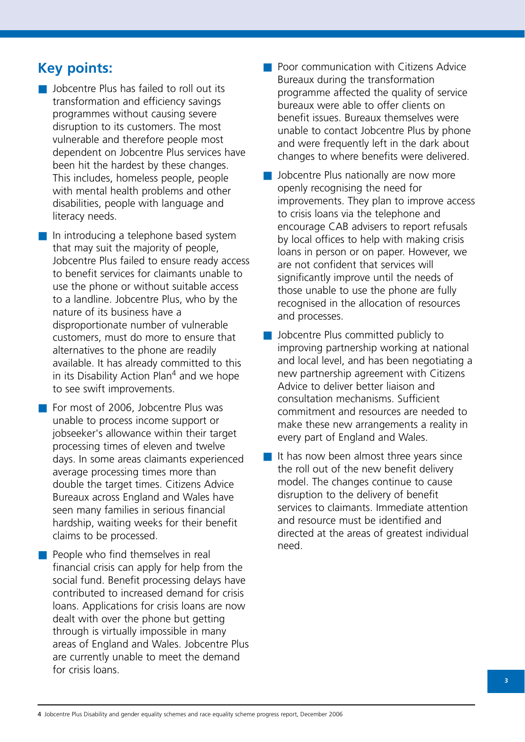# **Key points:**

■ Jobcentre Plus has failed to roll out its transformation and efficiency savings programmes without causing severe disruption to its customers. The most vulnerable and therefore people most dependent on Jobcentre Plus services have been hit the hardest by these changes. This includes, homeless people, people with mental health problems and other disabilities, people with language and literacy needs.

■ In introducing a telephone based system that may suit the majority of people, Jobcentre Plus failed to ensure ready access to benefit services for claimants unable to use the phone or without suitable access to a landline. Jobcentre Plus, who by the nature of its business have a disproportionate number of vulnerable customers, must do more to ensure that alternatives to the phone are readily available. It has already committed to this in its Disability Action Plan<sup>4</sup> and we hope to see swift improvements.

- For most of 2006, Jobcentre Plus was unable to process income support or jobseeker's allowance within their target processing times of eleven and twelve days. In some areas claimants experienced average processing times more than double the target times. Citizens Advice Bureaux across England and Wales have seen many families in serious financial hardship, waiting weeks for their benefit claims to be processed.
- People who find themselves in real financial crisis can apply for help from the social fund. Benefit processing delays have contributed to increased demand for crisis loans. Applications for crisis loans are now dealt with over the phone but getting through is virtually impossible in many areas of England and Wales. Jobcentre Plus are currently unable to meet the demand for crisis loans.
- Poor communication with Citizens Advice Bureaux during the transformation programme affected the quality of service bureaux were able to offer clients on benefit issues. Bureaux themselves were unable to contact Jobcentre Plus by phone and were frequently left in the dark about changes to where benefits were delivered.
- Jobcentre Plus nationally are now more openly recognising the need for improvements. They plan to improve access to crisis loans via the telephone and encourage CAB advisers to report refusals by local offices to help with making crisis loans in person or on paper. However, we are not confident that services will significantly improve until the needs of those unable to use the phone are fully recognised in the allocation of resources and processes.
- Jobcentre Plus committed publicly to improving partnership working at national and local level, and has been negotiating a new partnership agreement with Citizens Advice to deliver better liaison and consultation mechanisms. Sufficient commitment and resources are needed to make these new arrangements a reality in every part of England and Wales.
- $\blacksquare$  It has now been almost three years since the roll out of the new benefit delivery model. The changes continue to cause disruption to the delivery of benefit services to claimants. Immediate attention and resource must be identified and directed at the areas of greatest individual need.

4 Jobcentre Plus Disability and gender equality schemes and race equality scheme progress report, December 2006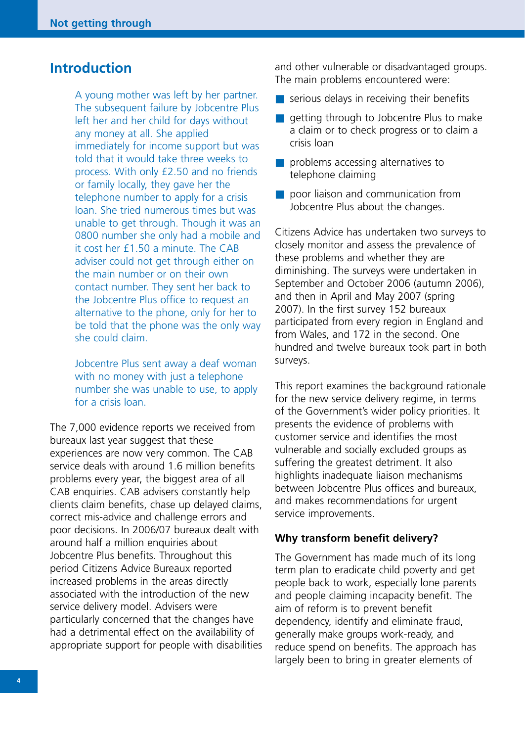# **Introduction**

A young mother was left by her partner. The subsequent failure by Jobcentre Plus left her and her child for days without any money at all. She applied immediately for income support but was told that it would take three weeks to process. With only £2.50 and no friends or family locally, they gave her the telephone number to apply for a crisis loan. She tried numerous times but was unable to get through. Though it was an 0800 number she only had a mobile and it cost her £1.50 a minute. The CAB adviser could not get through either on the main number or on their own contact number. They sent her back to the Jobcentre Plus office to request an alternative to the phone, only for her to be told that the phone was the only way she could claim.

Jobcentre Plus sent away a deaf woman with no money with just a telephone number she was unable to use, to apply for a crisis loan.

The 7,000 evidence reports we received from bureaux last year suggest that these experiences are now very common. The CAB service deals with around 1.6 million benefits problems every year, the biggest area of all CAB enquiries. CAB advisers constantly help clients claim benefits, chase up delayed claims, correct mis-advice and challenge errors and poor decisions. In 2006/07 bureaux dealt with around half a million enquiries about Jobcentre Plus benefits. Throughout this period Citizens Advice Bureaux reported increased problems in the areas directly associated with the introduction of the new service delivery model. Advisers were particularly concerned that the changes have had a detrimental effect on the availability of appropriate support for people with disabilities and other vulnerable or disadvantaged groups. The main problems encountered were:

- $\blacksquare$  serious delays in receiving their benefits
- getting through to Jobcentre Plus to make a claim or to check progress or to claim a crisis loan
- problems accessing alternatives to telephone claiming
- poor liaison and communication from Jobcentre Plus about the changes.

Citizens Advice has undertaken two surveys to closely monitor and assess the prevalence of these problems and whether they are diminishing. The surveys were undertaken in September and October 2006 (autumn 2006), and then in April and May 2007 (spring 2007). In the first survey 152 bureaux participated from every region in England and from Wales, and 172 in the second. One hundred and twelve bureaux took part in both surveys.

This report examines the background rationale for the new service delivery regime, in terms of the Government's wider policy priorities. It presents the evidence of problems with customer service and identifies the most vulnerable and socially excluded groups as suffering the greatest detriment. It also highlights inadequate liaison mechanisms between Jobcentre Plus offices and bureaux, and makes recommendations for urgent service improvements.

#### **Why transform benefit delivery?**

The Government has made much of its long term plan to eradicate child poverty and get people back to work, especially lone parents and people claiming incapacity benefit. The aim of reform is to prevent benefit dependency, identify and eliminate fraud, generally make groups work-ready, and reduce spend on benefits. The approach has largely been to bring in greater elements of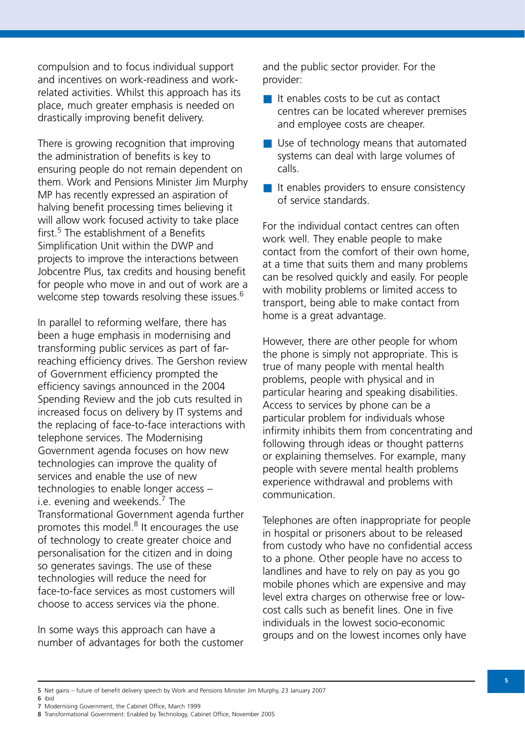compulsion and to focus individual support and incentives on work-readiness and workrelated activities. Whilst this approach has its place, much greater emphasis is needed on drastically improving benefit delivery.

There is growing recognition that improving the administration of benefits is key to ensuring people do not remain dependent on them. Work and Pensions Minister Jim Murphy MP has recently expressed an aspiration of halving benefit processing times believing it will allow work focused activity to take place first.<sup>5</sup> The establishment of a Benefits Simplification Unit within the DWP and projects to improve the interactions between Jobcentre Plus, tax credits and housing benefit for people who move in and out of work are a welcome step towards resolving these issues.<sup>6</sup>

In parallel to reforming welfare, there has been a huge emphasis in modernising and transforming public services as part of farreaching efficiency drives. The Gershon review of Government efficiency prompted the efficiency savings announced in the 2004 Spending Review and the job cuts resulted in increased focus on delivery by IT systems and the replacing of face-to-face interactions with telephone services. The Modernising Government agenda focuses on how new technologies can improve the quality of services and enable the use of new technologies to enable longer access – i.e. evening and weekends. $<sup>7</sup>$  The</sup> Transformational Government agenda further promotes this model. $8$  It encourages the use of technology to create greater choice and personalisation for the citizen and in doing so generates savings. The use of these technologies will reduce the need for face-to-face services as most customers will choose to access services via the phone.

In some ways this approach can have a number of advantages for both the customer and the public sector provider. For the provider:

- It enables costs to be cut as contact centres can be located wherever premises and employee costs are cheaper.
- Use of technology means that automated systems can deal with large volumes of calls.
- It enables providers to ensure consistency of service standards.

For the individual contact centres can often work well. They enable people to make contact from the comfort of their own home, at a time that suits them and many problems can be resolved quickly and easily. For people with mobility problems or limited access to transport, being able to make contact from home is a great advantage.

However, there are other people for whom the phone is simply not appropriate. This is true of many people with mental health problems, people with physical and in particular hearing and speaking disabilities. Access to services by phone can be a particular problem for individuals whose infirmity inhibits them from concentrating and following through ideas or thought patterns or explaining themselves. For example, many people with severe mental health problems experience withdrawal and problems with communication.

Telephones are often inappropriate for people in hospital or prisoners about to be released from custody who have no confidential access to a phone. Other people have no access to landlines and have to rely on pay as you go mobile phones which are expensive and may level extra charges on otherwise free or lowcost calls such as benefit lines. One in five individuals in the lowest socio-economic groups and on the lowest incomes only have

7 Modernising Government, the Cabinet Office, March 1999

<sup>5</sup> Net gains – future of benefit delivery speech by Work and Pensions Minister Jim Murphy, 23 January 2007 6 ibid

<sup>8</sup> Transformational Government: Enabled by Technology, Cabinet Office, November 2005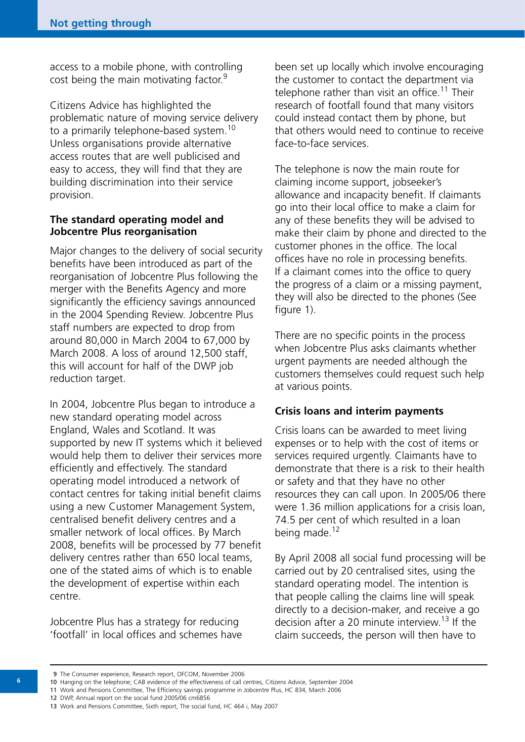access to a mobile phone, with controlling cost being the main motivating factor.<sup>9</sup>

Citizens Advice has highlighted the problematic nature of moving service delivery to a primarily telephone-based system.<sup>10</sup> Unless organisations provide alternative access routes that are well publicised and easy to access, they will find that they are building discrimination into their service provision.

# **The standard operating model and Jobcentre Plus reorganisation**

Major changes to the delivery of social security benefits have been introduced as part of the reorganisation of Jobcentre Plus following the merger with the Benefits Agency and more significantly the efficiency savings announced in the 2004 Spending Review. Jobcentre Plus staff numbers are expected to drop from around 80,000 in March 2004 to 67,000 by March 2008. A loss of around 12,500 staff, this will account for half of the DWP job reduction target.

In 2004, Jobcentre Plus began to introduce a new standard operating model across England, Wales and Scotland. It was supported by new IT systems which it believed would help them to deliver their services more efficiently and effectively. The standard operating model introduced a network of contact centres for taking initial benefit claims using a new Customer Management System, centralised benefit delivery centres and a smaller network of local offices. By March 2008, benefits will be processed by 77 benefit delivery centres rather than 650 local teams, one of the stated aims of which is to enable the development of expertise within each centre.

Jobcentre Plus has a strategy for reducing 'footfall' in local offices and schemes have been set up locally which involve encouraging the customer to contact the department via telephone rather than visit an office.<sup>11</sup> Their research of footfall found that many visitors could instead contact them by phone, but that others would need to continue to receive face-to-face services.

The telephone is now the main route for claiming income support, jobseeker's allowance and incapacity benefit. If claimants go into their local office to make a claim for any of these benefits they will be advised to make their claim by phone and directed to the customer phones in the office. The local offices have no role in processing benefits. If a claimant comes into the office to query the progress of a claim or a missing payment, they will also be directed to the phones (See figure 1).

There are no specific points in the process when Jobcentre Plus asks claimants whether urgent payments are needed although the customers themselves could request such help at various points.

# **Crisis loans and interim payments**

Crisis loans can be awarded to meet living expenses or to help with the cost of items or services required urgently. Claimants have to demonstrate that there is a risk to their health or safety and that they have no other resources they can call upon. In 2005/06 there were 1.36 million applications for a crisis loan, 74.5 per cent of which resulted in a loan being made.<sup>12</sup>

By April 2008 all social fund processing will be carried out by 20 centralised sites, using the standard operating model. The intention is that people calling the claims line will speak directly to a decision-maker, and receive a go decision after a 20 minute interview.<sup>13</sup> If the claim succeeds, the person will then have to

11 Work and Pensions Committee, The Efficiency savings programme in Jobcentre Plus, HC 834, March 2006

12 DWP, Annual report on the social fund 2005/06 cm6856

<sup>9</sup> The Consumer experience, Research report, OFCOM, November 2006

<sup>10</sup> Hanging on the telephone; CAB evidence of the effectiveness of call centres, Citizens Advice, September 2004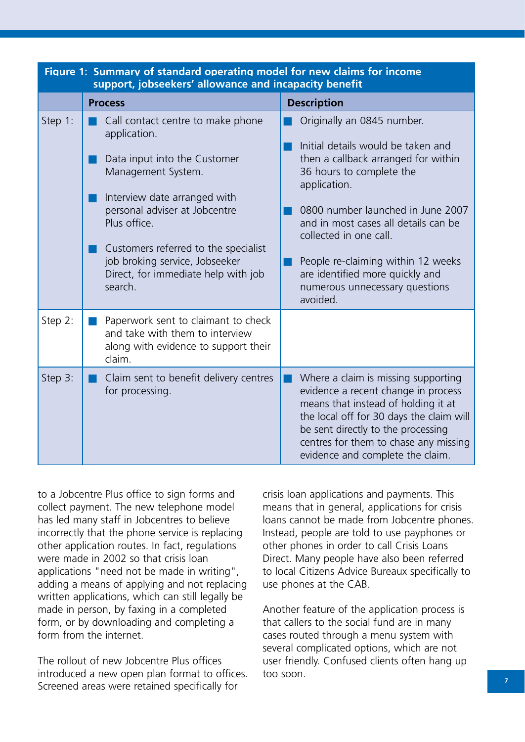| Figure 1: Summary of standard operating model for new claims for income<br>support, jobseekers' allowance and incapacity benefit |                                                                                                                                                                                                                                                                                                                      |                                                                                                                                                                                                                                                                                                                                                                                   |  |  |
|----------------------------------------------------------------------------------------------------------------------------------|----------------------------------------------------------------------------------------------------------------------------------------------------------------------------------------------------------------------------------------------------------------------------------------------------------------------|-----------------------------------------------------------------------------------------------------------------------------------------------------------------------------------------------------------------------------------------------------------------------------------------------------------------------------------------------------------------------------------|--|--|
|                                                                                                                                  | <b>Process</b>                                                                                                                                                                                                                                                                                                       | <b>Description</b>                                                                                                                                                                                                                                                                                                                                                                |  |  |
| Step 1:                                                                                                                          | Call contact centre to make phone<br>application.<br>Data input into the Customer<br>Management System.<br>Interview date arranged with<br>personal adviser at Jobcentre<br>Plus office.<br>Customers referred to the specialist<br>job broking service, Jobseeker<br>Direct, for immediate help with job<br>search. | Originally an 0845 number.<br>Initial details would be taken and<br>then a callback arranged for within<br>36 hours to complete the<br>application.<br>0800 number launched in June 2007<br>and in most cases all details can be<br>collected in one call.<br>People re-claiming within 12 weeks<br>are identified more quickly and<br>numerous unnecessary questions<br>avoided. |  |  |
| Step 2:                                                                                                                          | Paperwork sent to claimant to check<br>and take with them to interview<br>along with evidence to support their<br>claim.                                                                                                                                                                                             |                                                                                                                                                                                                                                                                                                                                                                                   |  |  |
| Step 3:                                                                                                                          | Claim sent to benefit delivery centres<br>for processing.                                                                                                                                                                                                                                                            | Where a claim is missing supporting<br>evidence a recent change in process<br>means that instead of holding it at<br>the local off for 30 days the claim will<br>be sent directly to the processing<br>centres for them to chase any missing<br>evidence and complete the claim.                                                                                                  |  |  |

to a Jobcentre Plus office to sign forms and collect payment. The new telephone model has led many staff in Jobcentres to believe incorrectly that the phone service is replacing other application routes. In fact, regulations were made in 2002 so that crisis loan applications "need not be made in writing", adding a means of applying and not replacing written applications, which can still legally be made in person, by faxing in a completed form, or by downloading and completing a form from the internet.

The rollout of new Jobcentre Plus offices introduced a new open plan format to offices. Screened areas were retained specifically for

crisis loan applications and payments. This means that in general, applications for crisis loans cannot be made from Jobcentre phones. Instead, people are told to use payphones or other phones in order to call Crisis Loans Direct. Many people have also been referred to local Citizens Advice Bureaux specifically to use phones at the CAB.

Another feature of the application process is that callers to the social fund are in many cases routed through a menu system with several complicated options, which are not user friendly. Confused clients often hang up too soon.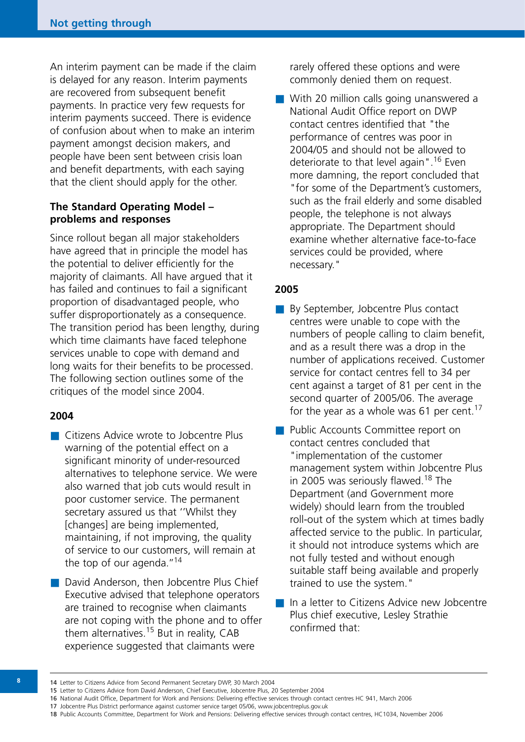An interim payment can be made if the claim is delayed for any reason. Interim payments are recovered from subsequent benefit payments. In practice very few requests for interim payments succeed. There is evidence of confusion about when to make an interim payment amongst decision makers, and people have been sent between crisis loan and benefit departments, with each saying that the client should apply for the other.

# **The Standard Operating Model – problems and responses**

Since rollout began all major stakeholders have agreed that in principle the model has the potential to deliver efficiently for the majority of claimants. All have argued that it has failed and continues to fail a significant proportion of disadvantaged people, who suffer disproportionately as a consequence. The transition period has been lengthy, during which time claimants have faced telephone services unable to cope with demand and long waits for their benefits to be processed. The following section outlines some of the critiques of the model since 2004.

#### **2004**

- Citizens Advice wrote to Jobcentre Plus warning of the potential effect on a significant minority of under-resourced alternatives to telephone service. We were also warned that job cuts would result in poor customer service. The permanent secretary assured us that ''Whilst they [changes] are being implemented, maintaining, if not improving, the quality of service to our customers, will remain at the top of our agenda. $^{\prime\prime}$ <sup>14</sup>
- David Anderson, then Jobcentre Plus Chief Executive advised that telephone operators are trained to recognise when claimants are not coping with the phone and to offer them alternatives.<sup>15</sup> But in reality,  $CAB$ experience suggested that claimants were

rarely offered these options and were commonly denied them on request.

■ With 20 million calls going unanswered a National Audit Office report on DWP contact centres identified that "the performance of centres was poor in 2004/05 and should not be allowed to deteriorate to that level again".<sup>16</sup> Even more damning, the report concluded that "for some of the Department's customers, such as the frail elderly and some disabled people, the telephone is not always appropriate. The Department should examine whether alternative face-to-face services could be provided, where necessary."

#### **2005**

- By September, Jobcentre Plus contact centres were unable to cope with the numbers of people calling to claim benefit, and as a result there was a drop in the number of applications received. Customer service for contact centres fell to 34 per cent against a target of 81 per cent in the second quarter of 2005/06. The average for the year as a whole was 61 per cent.<sup>17</sup>
- Public Accounts Committee report on contact centres concluded that "implementation of the customer management system within Jobcentre Plus in 2005 was seriously flawed.<sup>18</sup> The Department (and Government more widely) should learn from the troubled roll-out of the system which at times badly affected service to the public. In particular, it should not introduce systems which are not fully tested and without enough suitable staff being available and properly trained to use the system."
- In a letter to Citizens Advice new Jobcentre Plus chief executive, Lesley Strathie confirmed that:

17 Jobcentre Plus District performance against customer service target 05/06, www.jobcentreplus.gov.uk

<sup>14</sup> Letter to Citizens Advice from Second Permanent Secretary DWP, 30 March 2004

<sup>15</sup> Letter to Citizens Advice from David Anderson, Chief Executive, Jobcentre Plus, 20 September 2004

<sup>16</sup> National Audit Office, Department for Work and Pensions: Delivering effective services through contact centres HC 941, March 2006

<sup>18</sup> Public Accounts Committee, Department for Work and Pensions: Delivering effective services through contact centres, HC1034, November 2006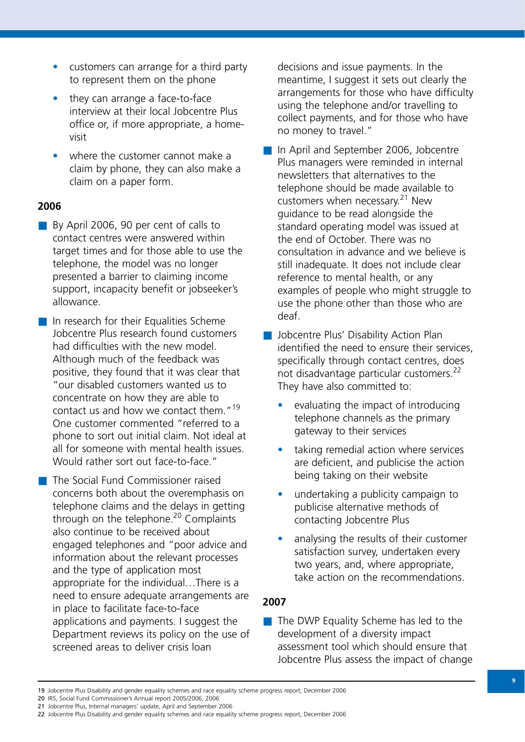- **•** customers can arrange for a third party to represent them on the phone
- **•** they can arrange a face-to-face interview at their local Jobcentre Plus office or, if more appropriate, a homevisit
- **•** where the customer cannot make a claim by phone, they can also make a claim on a paper form.

# **2006**

- By April 2006, 90 per cent of calls to contact centres were answered within target times and for those able to use the telephone, the model was no longer presented a barrier to claiming income support, incapacity benefit or jobseeker's allowance.
- In research for their Equalities Scheme Jobcentre Plus research found customers had difficulties with the new model. Although much of the feedback was positive, they found that it was clear that "our disabled customers wanted us to concentrate on how they are able to contact us and how we contact them."<sup>19</sup> One customer commented "referred to a phone to sort out initial claim. Not ideal at all for someone with mental health issues. Would rather sort out face-to-face."
- The Social Fund Commissioner raised concerns both about the overemphasis on telephone claims and the delays in getting through on the telephone.<sup>20</sup> Complaints also continue to be received about engaged telephones and "poor advice and information about the relevant processes and the type of application most appropriate for the individual…There is a need to ensure adequate arrangements are in place to facilitate face-to-face applications and payments. I suggest the Department reviews its policy on the use of screened areas to deliver crisis loan

decisions and issue payments. In the meantime, I suggest it sets out clearly the arrangements for those who have difficulty using the telephone and/or travelling to collect payments, and for those who have no money to travel."

- In April and September 2006, Jobcentre Plus managers were reminded in internal newsletters that alternatives to the telephone should be made available to customers when necessary.21 New guidance to be read alongside the standard operating model was issued at the end of October. There was no consultation in advance and we believe is still inadequate. It does not include clear reference to mental health, or any examples of people who might struggle to use the phone other than those who are deaf.
- Jobcentre Plus' Disability Action Plan identified the need to ensure their services, specifically through contact centres, does not disadvantage particular customers.<sup>22</sup> They have also committed to:
	- **•** evaluating the impact of introducing telephone channels as the primary gateway to their services
	- **•** taking remedial action where services are deficient, and publicise the action being taking on their website
	- **•** undertaking a publicity campaign to publicise alternative methods of contacting Jobcentre Plus
	- **•** analysing the results of their customer satisfaction survey, undertaken every two years, and, where appropriate, take action on the recommendations.

# **2007**

■ The DWP Equality Scheme has led to the development of a diversity impact assessment tool which should ensure that Jobcentre Plus assess the impact of change

<sup>19</sup> Jobcentre Plus Disability and gender equality schemes and race equality scheme progress report, December 2006

<sup>20</sup> IRS, Social Fund Commissioner's Annual report 2005/2006, 2006

<sup>21</sup> Jobcentre Plus, Internal managers' update, April and September 2006

<sup>22</sup> Jobcentre Plus Disability and gender equality schemes and race equality scheme progress report, December 2006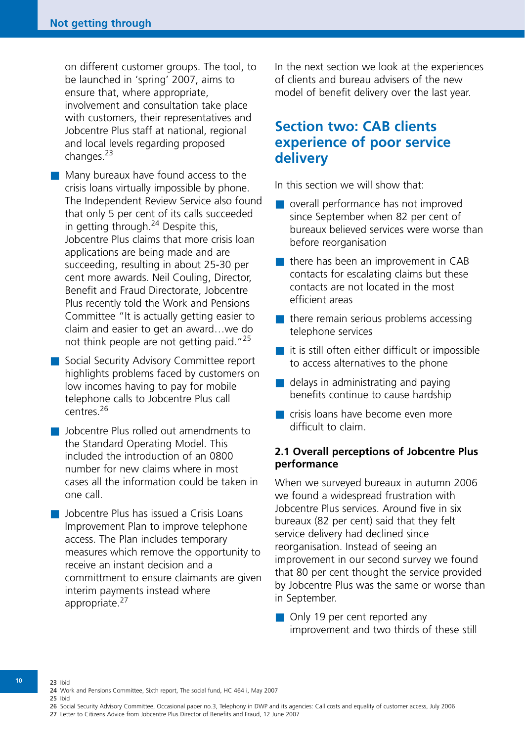on different customer groups. The tool, to be launched in 'spring' 2007, aims to ensure that, where appropriate, involvement and consultation take place with customers, their representatives and Jobcentre Plus staff at national, regional and local levels regarding proposed changes.<sup>23</sup>

- Many bureaux have found access to the crisis loans virtually impossible by phone. The Independent Review Service also found that only 5 per cent of its calls succeeded in getting through.<sup>24</sup> Despite this, Jobcentre Plus claims that more crisis loan applications are being made and are succeeding, resulting in about 25-30 per cent more awards. Neil Couling, Director, Benefit and Fraud Directorate, Jobcentre Plus recently told the Work and Pensions Committee "It is actually getting easier to claim and easier to get an award…we do not think people are not getting paid."<sup>25</sup>
- Social Security Advisory Committee report highlights problems faced by customers on low incomes having to pay for mobile telephone calls to Jobcentre Plus call centres<sup>26</sup>
- Jobcentre Plus rolled out amendments to the Standard Operating Model. This included the introduction of an 0800 number for new claims where in most cases all the information could be taken in one call.
- Jobcentre Plus has issued a Crisis Loans Improvement Plan to improve telephone access. The Plan includes temporary measures which remove the opportunity to receive an instant decision and a committment to ensure claimants are given interim payments instead where appropriate.<sup>27</sup>

In the next section we look at the experiences of clients and bureau advisers of the new model of benefit delivery over the last year.

# **Section two: CAB clients experience of poor service delivery**

In this section we will show that:

- overall performance has not improved since September when 82 per cent of bureaux believed services were worse than before reorganisation
- there has been an improvement in CAB contacts for escalating claims but these contacts are not located in the most efficient areas
- $\blacksquare$  there remain serious problems accessing telephone services
- it is still often either difficult or impossible to access alternatives to the phone
- $\blacksquare$  delays in administrating and paying benefits continue to cause hardship
- crisis loans have become even more difficult to claim.

# **2.1 Overall perceptions of Jobcentre Plus performance**

When we surveyed bureaux in autumn 2006 we found a widespread frustration with Jobcentre Plus services. Around five in six bureaux (82 per cent) said that they felt service delivery had declined since reorganisation. Instead of seeing an improvement in our second survey we found that 80 per cent thought the service provided by Jobcentre Plus was the same or worse than in September.

■ Only 19 per cent reported any improvement and two thirds of these still

**10**

27 Letter to Citizens Advice from Jobcentre Plus Director of Benefits and Fraud, 12 June 2007

<sup>23</sup> Ibid 24 Work and Pensions Committee, Sixth report, The social fund, HC 464 i, May 2007 25 Ibid

<sup>26</sup> Social Security Advisory Committee, Occasional paper no.3, Telephony in DWP and its agencies: Call costs and equality of customer access, July 2006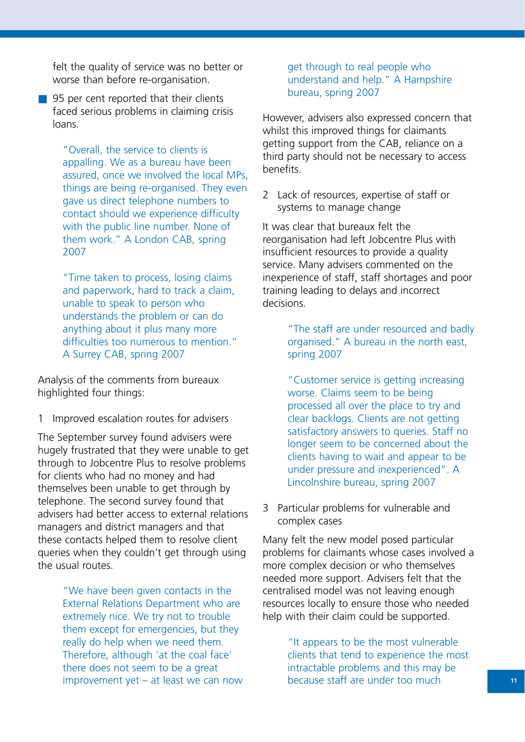felt the quality of service was no better or worse than before re-organisation.

■ 95 per cent reported that their clients faced serious problems in claiming crisis loans.

> "Overall, the service to clients is appalling. We as a bureau have been assured, once we involved the local MPs, things are being re-organised. They even gave us direct telephone numbers to contact should we experience difficulty with the public line number. None of them work." A London CAB, spring 2007

"Time taken to process, losing claims and paperwork, hard to track a claim, unable to speak to person who understands the problem or can do anything about it plus many more difficulties too numerous to mention." A Surrey CAB, spring 2007

Analysis of the comments from bureaux highlighted four things:

1 Improved escalation routes for advisers

The September survey found advisers were hugely frustrated that they were unable to get through to Jobcentre Plus to resolve problems for clients who had no money and had themselves been unable to get through by telephone. The second survey found that advisers had better access to external relations managers and district managers and that these contacts helped them to resolve client queries when they couldn't get through using the usual routes.

> "We have been given contacts in the External Relations Department who are extremely nice. We try not to trouble them except for emergencies, but they really do help when we need them. Therefore, although 'at the coal face' there does not seem to be a great improvement yet – at least we can now

get through to real people who understand and help." A Hampshire bureau, spring 2007

However, advisers also expressed concern that whilst this improved things for claimants getting support from the CAB, reliance on a third party should not be necessary to access benefits.

2 Lack of resources, expertise of staff or systems to manage change

It was clear that bureaux felt the reorganisation had left Jobcentre Plus with insufficient resources to provide a quality service. Many advisers commented on the inexperience of staff, staff shortages and poor training leading to delays and incorrect decisions.

> "The staff are under resourced and badly organised." A bureau in the north east, spring 2007

"Customer service is getting increasing worse. Claims seem to be being processed all over the place to try and clear backlogs. Clients are not getting satisfactory answers to queries. Staff no longer seem to be concerned about the clients having to wait and appear to be under pressure and inexperienced". A Lincolnshire bureau, spring 2007

3 Particular problems for vulnerable and complex cases

Many felt the new model posed particular problems for claimants whose cases involved a more complex decision or who themselves needed more support. Advisers felt that the centralised model was not leaving enough resources locally to ensure those who needed help with their claim could be supported.

> "It appears to be the most vulnerable clients that tend to experience the most intractable problems and this may be because staff are under too much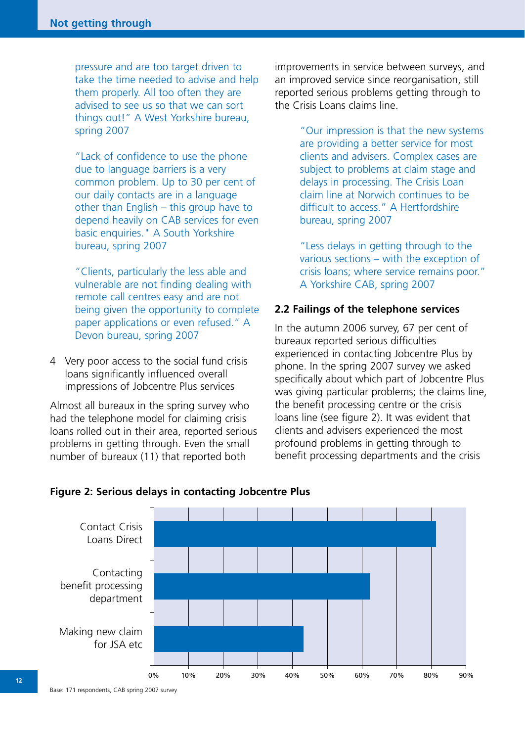pressure and are too target driven to take the time needed to advise and help them properly. All too often they are advised to see us so that we can sort things out!" A West Yorkshire bureau, spring 2007

"Lack of confidence to use the phone due to language barriers is a very common problem. Up to 30 per cent of our daily contacts are in a language other than English – this group have to depend heavily on CAB services for even basic enquiries." A South Yorkshire bureau, spring 2007

"Clients, particularly the less able and vulnerable are not finding dealing with remote call centres easy and are not being given the opportunity to complete paper applications or even refused." A Devon bureau, spring 2007

4 Very poor access to the social fund crisis loans significantly influenced overall impressions of Jobcentre Plus services

Almost all bureaux in the spring survey who had the telephone model for claiming crisis loans rolled out in their area, reported serious problems in getting through. Even the small number of bureaux (11) that reported both

improvements in service between surveys, and an improved service since reorganisation, still reported serious problems getting through to the Crisis Loans claims line.

> "Our impression is that the new systems are providing a better service for most clients and advisers. Complex cases are subject to problems at claim stage and delays in processing. The Crisis Loan claim line at Norwich continues to be difficult to access." A Hertfordshire bureau, spring 2007

> "Less delays in getting through to the various sections – with the exception of crisis loans; where service remains poor." A Yorkshire CAB, spring 2007

# **2.2 Failings of the telephone services**

In the autumn 2006 survey, 67 per cent of bureaux reported serious difficulties experienced in contacting Jobcentre Plus by phone. In the spring 2007 survey we asked specifically about which part of Jobcentre Plus was giving particular problems; the claims line, the benefit processing centre or the crisis loans line (see figure 2). It was evident that clients and advisers experienced the most profound problems in getting through to benefit processing departments and the crisis



# **Figure 2: Serious delays in contacting Jobcentre Plus**

Base: 171 respondents, CAB spring 2007 survey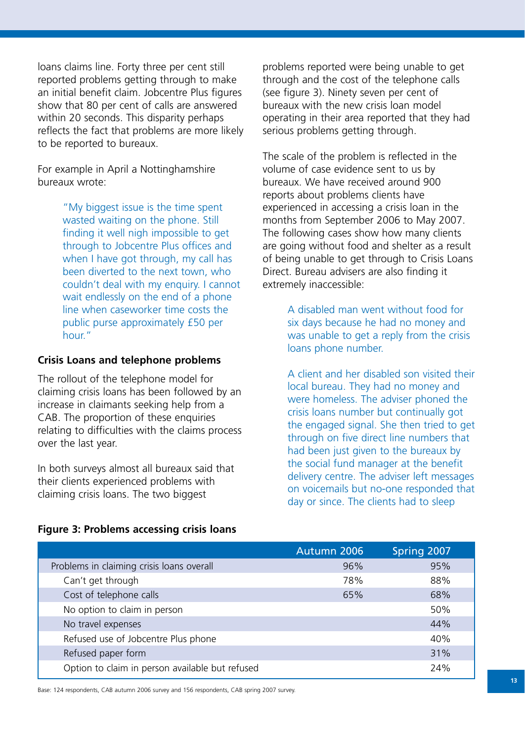loans claims line. Forty three per cent still reported problems getting through to make an initial benefit claim. Jobcentre Plus figures show that 80 per cent of calls are answered within 20 seconds. This disparity perhaps reflects the fact that problems are more likely to be reported to bureaux.

For example in April a Nottinghamshire bureaux wrote:

> "My biggest issue is the time spent wasted waiting on the phone. Still finding it well nigh impossible to get through to Jobcentre Plus offices and when I have got through, my call has been diverted to the next town, who couldn't deal with my enquiry. I cannot wait endlessly on the end of a phone line when caseworker time costs the public purse approximately £50 per hour."

### **Crisis Loans and telephone problems**

The rollout of the telephone model for claiming crisis loans has been followed by an increase in claimants seeking help from a CAB. The proportion of these enquiries relating to difficulties with the claims process over the last year.

In both surveys almost all bureaux said that their clients experienced problems with claiming crisis loans. The two biggest

problems reported were being unable to get through and the cost of the telephone calls (see figure 3). Ninety seven per cent of bureaux with the new crisis loan model operating in their area reported that they had serious problems getting through.

The scale of the problem is reflected in the volume of case evidence sent to us by bureaux. We have received around 900 reports about problems clients have experienced in accessing a crisis loan in the months from September 2006 to May 2007. The following cases show how many clients are going without food and shelter as a result of being unable to get through to Crisis Loans Direct. Bureau advisers are also finding it extremely inaccessible:

> A disabled man went without food for six days because he had no money and was unable to get a reply from the crisis loans phone number.

A client and her disabled son visited their local bureau. They had no money and were homeless. The adviser phoned the crisis loans number but continually got the engaged signal. She then tried to get through on five direct line numbers that had been just given to the bureaux by the social fund manager at the benefit delivery centre. The adviser left messages on voicemails but no-one responded that day or since. The clients had to sleep

|                                           | Autumn 2006 | Spring 2007 |
|-------------------------------------------|-------------|-------------|
| Problems in claiming crisis loans overall | 96%         | 95%         |
| Can't get through                         | 78%         | 88%         |
| Cost of telephone calls                   | 65%         | 68%         |
| No option to claim in person              |             | 50%         |
| No travel expenses                        |             | 44%         |
| Refused use of Jobcentre Plus phone       |             | 40%         |
|                                           |             |             |

Refused paper form 31% Option to claim in person available but refused 24%

## **Figure 3: Problems accessing crisis loans**

Base: 124 respondents, CAB autumn 2006 survey and 156 respondents, CAB spring 2007 survey.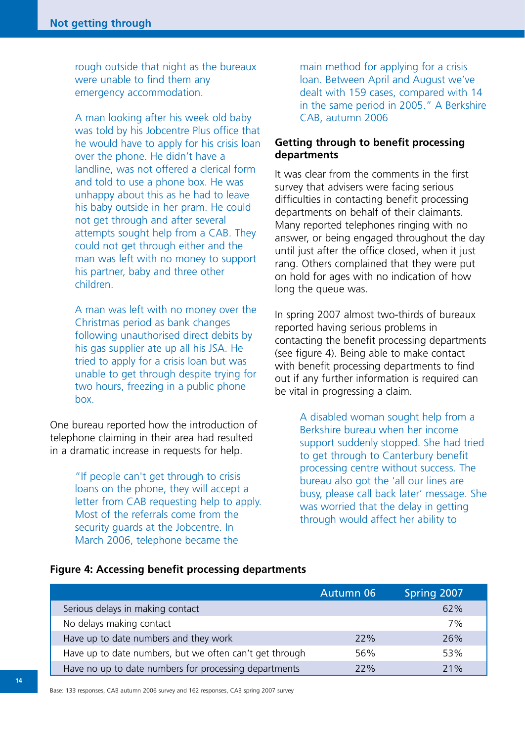rough outside that night as the bureaux were unable to find them any emergency accommodation.

A man looking after his week old baby was told by his Jobcentre Plus office that he would have to apply for his crisis loan over the phone. He didn't have a landline, was not offered a clerical form and told to use a phone box. He was unhappy about this as he had to leave his baby outside in her pram. He could not get through and after several attempts sought help from a CAB. They could not get through either and the man was left with no money to support his partner, baby and three other children.

A man was left with no money over the Christmas period as bank changes following unauthorised direct debits by his gas supplier ate up all his JSA. He tried to apply for a crisis loan but was unable to get through despite trying for two hours, freezing in a public phone box.

One bureau reported how the introduction of telephone claiming in their area had resulted in a dramatic increase in requests for help.

> "If people can't get through to crisis loans on the phone, they will accept a letter from CAB requesting help to apply. Most of the referrals come from the security guards at the Jobcentre. In March 2006, telephone became the

main method for applying for a crisis loan. Between April and August we've dealt with 159 cases, compared with 14 in the same period in 2005." A Berkshire CAB, autumn 2006

# **Getting through to benefit processing departments**

It was clear from the comments in the first survey that advisers were facing serious difficulties in contacting benefit processing departments on behalf of their claimants. Many reported telephones ringing with no answer, or being engaged throughout the day until just after the office closed, when it just rang. Others complained that they were put on hold for ages with no indication of how long the queue was.

In spring 2007 almost two-thirds of bureaux reported having serious problems in contacting the benefit processing departments (see figure 4). Being able to make contact with benefit processing departments to find out if any further information is required can be vital in progressing a claim.

> A disabled woman sought help from a Berkshire bureau when her income support suddenly stopped. She had tried to get through to Canterbury benefit processing centre without success. The bureau also got the 'all our lines are busy, please call back later' message. She was worried that the delay in getting through would affect her ability to

#### **Figure 4: Accessing benefit processing departments**

|                                                         | <b>Autumn 06</b> | Spring 2007 |
|---------------------------------------------------------|------------------|-------------|
| Serious delays in making contact                        |                  | 62%         |
| No delays making contact                                |                  | 7%          |
| Have up to date numbers and they work                   | 22%              | 26%         |
| Have up to date numbers, but we often can't get through | 56%              | 53%         |
| Have no up to date numbers for processing departments   | 22%              | 21%         |

Base: 133 responses, CAB autumn 2006 survey and 162 responses, CAB spring 2007 survey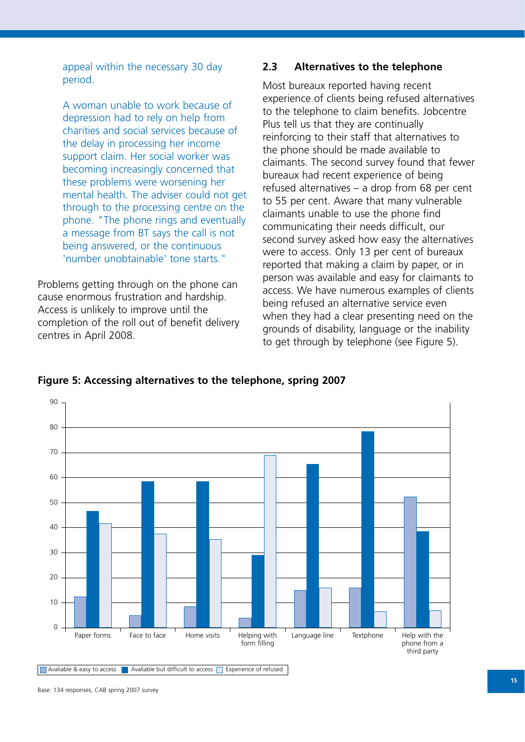appeal within the necessary 30 day period.

A woman unable to work because of depression had to rely on help from charities and social services because of the delay in processing her income support claim. Her social worker was becoming increasingly concerned that these problems were worsening her mental health. The adviser could not get through to the processing centre on the phone. "The phone rings and eventually a message from BT says the call is not being answered, or the continuous 'number unobtainable' tone starts."

Problems getting through on the phone can cause enormous frustration and hardship. Access is unlikely to improve until the completion of the roll out of benefit delivery centres in April 2008.

## **2.3 Alternatives to the telephone**

Most bureaux reported having recent experience of clients being refused alternatives to the telephone to claim benefits. Jobcentre Plus tell us that they are continually reinforcing to their staff that alternatives to the phone should be made available to claimants. The second survey found that fewer bureaux had recent experience of being refused alternatives – a drop from 68 per cent to 55 per cent. Aware that many vulnerable claimants unable to use the phone find communicating their needs difficult, our second survey asked how easy the alternatives were to access. Only 13 per cent of bureaux reported that making a claim by paper, or in person was available and easy for claimants to access. We have numerous examples of clients being refused an alternative service even when they had a clear presenting need on the grounds of disability, language or the inability to get through by telephone (see Figure 5).



#### **Figure 5: Accessing alternatives to the telephone, spring 2007**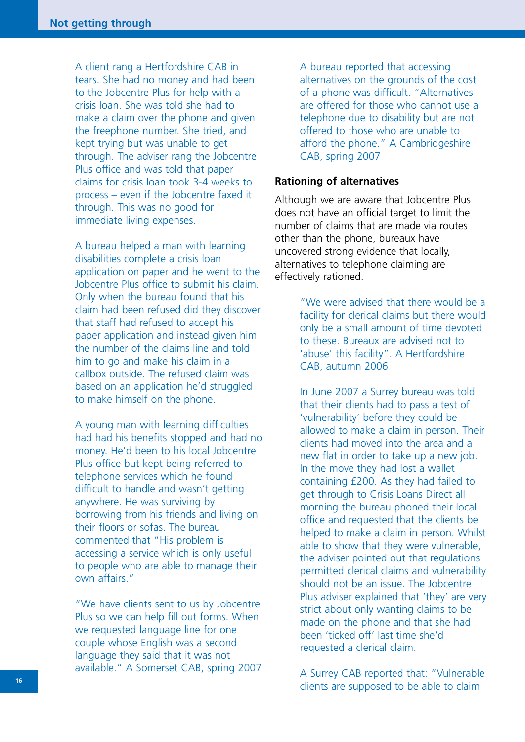A client rang a Hertfordshire CAB in tears. She had no money and had been to the Jobcentre Plus for help with a crisis loan. She was told she had to make a claim over the phone and given the freephone number. She tried, and kept trying but was unable to get through. The adviser rang the Jobcentre Plus office and was told that paper claims for crisis loan took 3-4 weeks to process – even if the Jobcentre faxed it through. This was no good for immediate living expenses.

A bureau helped a man with learning disabilities complete a crisis loan application on paper and he went to the Jobcentre Plus office to submit his claim. Only when the bureau found that his claim had been refused did they discover that staff had refused to accept his paper application and instead given him the number of the claims line and told him to go and make his claim in a callbox outside. The refused claim was based on an application he'd struggled to make himself on the phone.

A young man with learning difficulties had had his benefits stopped and had no money. He'd been to his local Jobcentre Plus office but kept being referred to telephone services which he found difficult to handle and wasn't getting anywhere. He was surviving by borrowing from his friends and living on their floors or sofas. The bureau commented that "His problem is accessing a service which is only useful to people who are able to manage their own affairs."

"We have clients sent to us by Jobcentre Plus so we can help fill out forms. When we requested language line for one couple whose English was a second language they said that it was not available." A Somerset CAB, spring 2007 A bureau reported that accessing alternatives on the grounds of the cost of a phone was difficult. "Alternatives are offered for those who cannot use a telephone due to disability but are not offered to those who are unable to afford the phone." A Cambridgeshire CAB, spring 2007

#### **Rationing of alternatives**

Although we are aware that Jobcentre Plus does not have an official target to limit the number of claims that are made via routes other than the phone, bureaux have uncovered strong evidence that locally, alternatives to telephone claiming are effectively rationed.

> "We were advised that there would be a facility for clerical claims but there would only be a small amount of time devoted to these. Bureaux are advised not to 'abuse' this facility". A Hertfordshire CAB, autumn 2006

In June 2007 a Surrey bureau was told that their clients had to pass a test of 'vulnerability' before they could be allowed to make a claim in person. Their clients had moved into the area and a new flat in order to take up a new job. In the move they had lost a wallet containing £200. As they had failed to get through to Crisis Loans Direct all morning the bureau phoned their local office and requested that the clients be helped to make a claim in person. Whilst able to show that they were vulnerable, the adviser pointed out that regulations permitted clerical claims and vulnerability should not be an issue. The Jobcentre Plus adviser explained that 'they' are very strict about only wanting claims to be made on the phone and that she had been 'ticked off' last time she'd requested a clerical claim.

A Surrey CAB reported that: "Vulnerable clients are supposed to be able to claim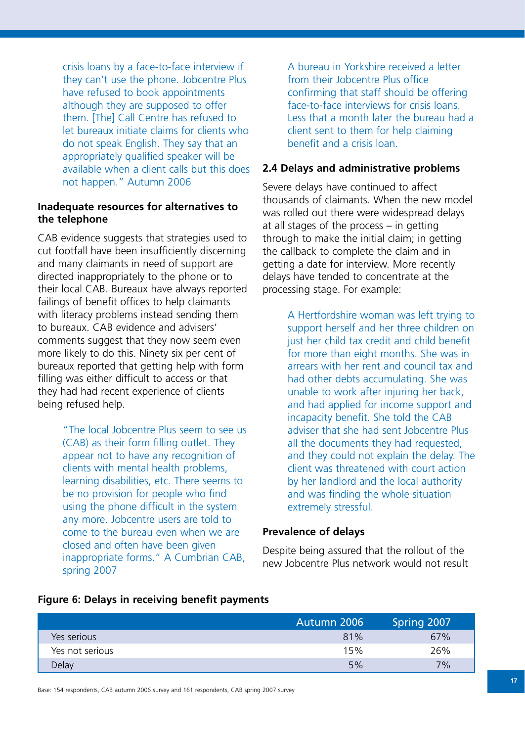crisis loans by a face-to-face interview if they can't use the phone. Jobcentre Plus have refused to book appointments although they are supposed to offer them. [The] Call Centre has refused to let bureaux initiate claims for clients who do not speak English. They say that an appropriately qualified speaker will be available when a client calls but this does not happen." Autumn 2006

# **Inadequate resources for alternatives to the telephone**

CAB evidence suggests that strategies used to cut footfall have been insufficiently discerning and many claimants in need of support are directed inappropriately to the phone or to their local CAB. Bureaux have always reported failings of benefit offices to help claimants with literacy problems instead sending them to bureaux. CAB evidence and advisers' comments suggest that they now seem even more likely to do this. Ninety six per cent of bureaux reported that getting help with form filling was either difficult to access or that they had had recent experience of clients being refused help.

> "The local Jobcentre Plus seem to see us (CAB) as their form filling outlet. They appear not to have any recognition of clients with mental health problems, learning disabilities, etc. There seems to be no provision for people who find using the phone difficult in the system any more. Jobcentre users are told to come to the bureau even when we are closed and often have been given inappropriate forms." A Cumbrian CAB, spring 2007

A bureau in Yorkshire received a letter from their Jobcentre Plus office confirming that staff should be offering face-to-face interviews for crisis loans. Less that a month later the bureau had a client sent to them for help claiming benefit and a crisis loan.

#### **2.4 Delays and administrative problems**

Severe delays have continued to affect thousands of claimants. When the new model was rolled out there were widespread delays at all stages of the process – in getting through to make the initial claim; in getting the callback to complete the claim and in getting a date for interview. More recently delays have tended to concentrate at the processing stage. For example:

> A Hertfordshire woman was left trying to support herself and her three children on just her child tax credit and child benefit for more than eight months. She was in arrears with her rent and council tax and had other debts accumulating. She was unable to work after injuring her back, and had applied for income support and incapacity benefit. She told the CAB adviser that she had sent Jobcentre Plus all the documents they had requested, and they could not explain the delay. The client was threatened with court action by her landlord and the local authority and was finding the whole situation extremely stressful.

#### **Prevalence of delays**

Despite being assured that the rollout of the new Jobcentre Plus network would not result

#### **Figure 6: Delays in receiving benefit payments**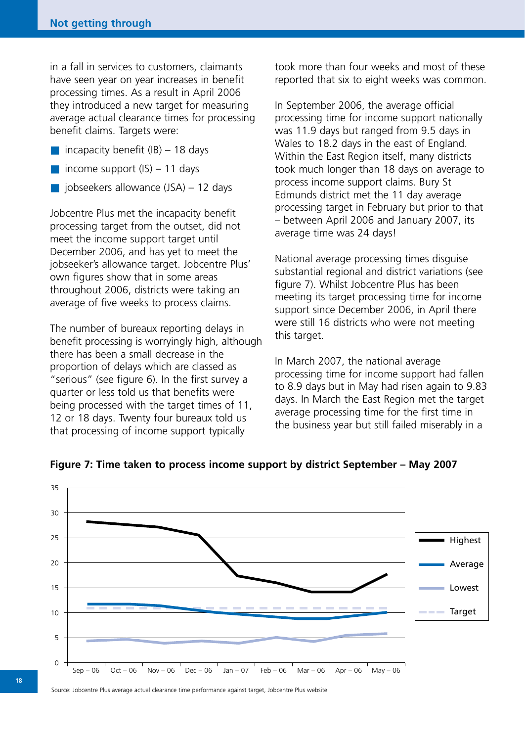in a fall in services to customers, claimants have seen year on year increases in benefit processing times. As a result in April 2006 they introduced a new target for measuring average actual clearance times for processing benefit claims. Targets were:

- incapacity benefit  $(IB) 18$  days
- income support  $(IS) 11$  days
- $\Box$  jobseekers allowance (JSA) 12 days

Jobcentre Plus met the incapacity benefit processing target from the outset, did not meet the income support target until December 2006, and has yet to meet the jobseeker's allowance target. Jobcentre Plus' own figures show that in some areas throughout 2006, districts were taking an average of five weeks to process claims.

The number of bureaux reporting delays in benefit processing is worryingly high, although there has been a small decrease in the proportion of delays which are classed as "serious" (see figure 6). In the first survey a quarter or less told us that benefits were being processed with the target times of 11, 12 or 18 days. Twenty four bureaux told us that processing of income support typically

took more than four weeks and most of these reported that six to eight weeks was common.

In September 2006, the average official processing time for income support nationally was 11.9 days but ranged from 9.5 days in Wales to 18.2 days in the east of England. Within the East Region itself, many districts took much longer than 18 days on average to process income support claims. Bury St Edmunds district met the 11 day average processing target in February but prior to that – between April 2006 and January 2007, its average time was 24 days!

National average processing times disguise substantial regional and district variations (see figure 7). Whilst Jobcentre Plus has been meeting its target processing time for income support since December 2006, in April there were still 16 districts who were not meeting this target.

In March 2007, the national average processing time for income support had fallen to 8.9 days but in May had risen again to 9.83 days. In March the East Region met the target average processing time for the first time in the business year but still failed miserably in a



**Figure 7: Time taken to process income support by district September – May 2007**

Source: Jobcentre Plus average actual clearance time performance against target, Jobcentre Plus website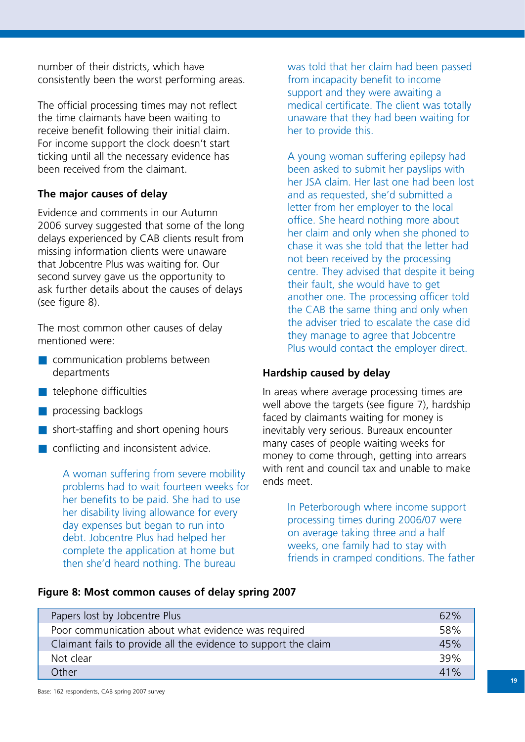number of their districts, which have consistently been the worst performing areas.

The official processing times may not reflect the time claimants have been waiting to receive benefit following their initial claim. For income support the clock doesn't start ticking until all the necessary evidence has been received from the claimant.

# **The major causes of delay**

Evidence and comments in our Autumn 2006 survey suggested that some of the long delays experienced by CAB clients result from missing information clients were unaware that Jobcentre Plus was waiting for. Our second survey gave us the opportunity to ask further details about the causes of delays (see figure 8).

The most common other causes of delay mentioned were:

- communication problems between departments
- telephone difficulties
- processing backlogs
- short-staffing and short opening hours
- conflicting and inconsistent advice.

A woman suffering from severe mobility problems had to wait fourteen weeks for her benefits to be paid. She had to use her disability living allowance for every day expenses but began to run into debt. Jobcentre Plus had helped her complete the application at home but then she'd heard nothing. The bureau

was told that her claim had been passed from incapacity benefit to income support and they were awaiting a medical certificate. The client was totally unaware that they had been waiting for her to provide this.

A young woman suffering epilepsy had been asked to submit her payslips with her JSA claim. Her last one had been lost and as requested, she'd submitted a letter from her employer to the local office. She heard nothing more about her claim and only when she phoned to chase it was she told that the letter had not been received by the processing centre. They advised that despite it being their fault, she would have to get another one. The processing officer told the CAB the same thing and only when the adviser tried to escalate the case did they manage to agree that Jobcentre Plus would contact the employer direct.

## **Hardship caused by delay**

In areas where average processing times are well above the targets (see figure 7), hardship faced by claimants waiting for money is inevitably very serious. Bureaux encounter many cases of people waiting weeks for money to come through, getting into arrears with rent and council tax and unable to make ends meet.

> In Peterborough where income support processing times during 2006/07 were on average taking three and a half weeks, one family had to stay with friends in cramped conditions. The father

#### **Figure 8: Most common causes of delay spring 2007**

| Papers lost by Jobcentre Plus                                   | 62% |
|-----------------------------------------------------------------|-----|
| Poor communication about what evidence was required             | 58% |
| Claimant fails to provide all the evidence to support the claim | 45% |
| Not clear                                                       | 39% |
| Other                                                           | 41% |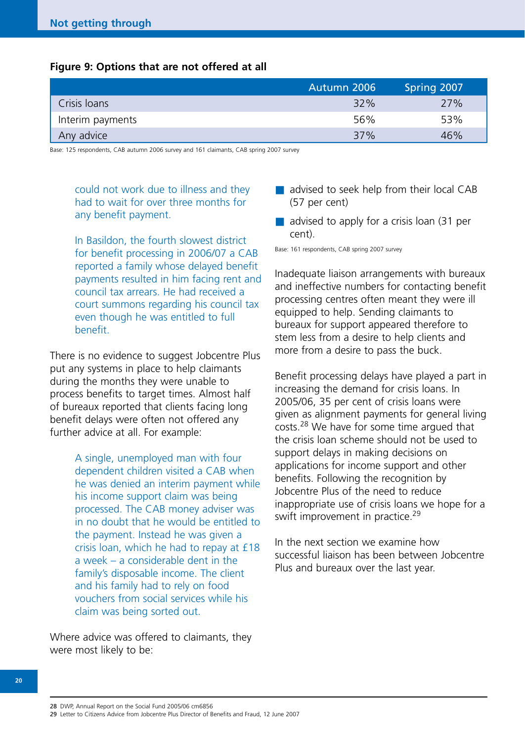## **Figure 9: Options that are not offered at all**

|                  | Autumn 2006 | Spring 2007 |
|------------------|-------------|-------------|
| Crisis Ioans     | 32%         | 27%         |
| Interim payments | 56%         | 53%         |
| Any advice       | 37%         | 46%         |

Base: 125 respondents, CAB autumn 2006 survey and 161 claimants, CAB spring 2007 survey

could not work due to illness and they had to wait for over three months for any benefit payment.

In Basildon, the fourth slowest district for benefit processing in 2006/07 a CAB reported a family whose delayed benefit payments resulted in him facing rent and council tax arrears. He had received a court summons regarding his council tax even though he was entitled to full benefit.

There is no evidence to suggest Jobcentre Plus put any systems in place to help claimants during the months they were unable to process benefits to target times. Almost half of bureaux reported that clients facing long benefit delays were often not offered any further advice at all. For example:

> A single, unemployed man with four dependent children visited a CAB when he was denied an interim payment while his income support claim was being processed. The CAB money adviser was in no doubt that he would be entitled to the payment. Instead he was given a crisis loan, which he had to repay at £18 a week – a considerable dent in the family's disposable income. The client and his family had to rely on food vouchers from social services while his claim was being sorted out.

Where advice was offered to claimants, they were most likely to be:

- advised to seek help from their local CAB (57 per cent)
- advised to apply for a crisis loan (31 per cent).

Base: 161 respondents, CAB spring 2007 survey

Inadequate liaison arrangements with bureaux and ineffective numbers for contacting benefit processing centres often meant they were ill equipped to help. Sending claimants to bureaux for support appeared therefore to stem less from a desire to help clients and more from a desire to pass the buck.

Benefit processing delays have played a part in increasing the demand for crisis loans. In 2005/06, 35 per cent of crisis loans were given as alignment payments for general living costs.<sup>28</sup> We have for some time argued that the crisis loan scheme should not be used to support delays in making decisions on applications for income support and other benefits. Following the recognition by Jobcentre Plus of the need to reduce inappropriate use of crisis loans we hope for a swift improvement in practice.<sup>29</sup>

In the next section we examine how successful liaison has been between Jobcentre Plus and bureaux over the last year.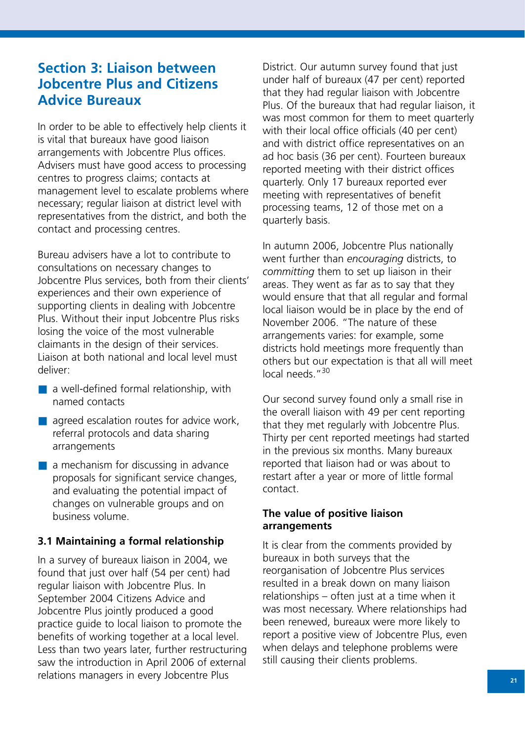# **Section 3: Liaison between Jobcentre Plus and Citizens Advice Bureaux**

In order to be able to effectively help clients it is vital that bureaux have good liaison arrangements with Jobcentre Plus offices. Advisers must have good access to processing centres to progress claims; contacts at management level to escalate problems where necessary; regular liaison at district level with representatives from the district, and both the contact and processing centres.

Bureau advisers have a lot to contribute to consultations on necessary changes to Jobcentre Plus services, both from their clients' experiences and their own experience of supporting clients in dealing with Jobcentre Plus. Without their input Jobcentre Plus risks losing the voice of the most vulnerable claimants in the design of their services. Liaison at both national and local level must deliver:

- $\blacksquare$  a well-defined formal relationship, with named contacts
- $\blacksquare$  agreed escalation routes for advice work, referral protocols and data sharing arrangements
- a mechanism for discussing in advance proposals for significant service changes, and evaluating the potential impact of changes on vulnerable groups and on business volume.

# **3.1 Maintaining a formal relationship**

In a survey of bureaux liaison in 2004, we found that just over half (54 per cent) had regular liaison with Jobcentre Plus. In September 2004 Citizens Advice and Jobcentre Plus jointly produced a good practice guide to local liaison to promote the benefits of working together at a local level. Less than two years later, further restructuring saw the introduction in April 2006 of external relations managers in every Jobcentre Plus

District. Our autumn survey found that just under half of bureaux (47 per cent) reported that they had regular liaison with Jobcentre Plus. Of the bureaux that had regular liaison, it was most common for them to meet quarterly with their local office officials (40 per cent) and with district office representatives on an ad hoc basis (36 per cent). Fourteen bureaux reported meeting with their district offices quarterly. Only 17 bureaux reported ever meeting with representatives of benefit processing teams, 12 of those met on a quarterly basis.

In autumn 2006, Jobcentre Plus nationally went further than *encouraging* districts, to *committing* them to set up liaison in their areas. They went as far as to say that they would ensure that that all regular and formal local liaison would be in place by the end of November 2006. "The nature of these arrangements varies: for example, some districts hold meetings more frequently than others but our expectation is that all will meet local needs. "<sup>30</sup>

Our second survey found only a small rise in the overall liaison with 49 per cent reporting that they met regularly with Jobcentre Plus. Thirty per cent reported meetings had started in the previous six months. Many bureaux reported that liaison had or was about to restart after a year or more of little formal contact.

# **The value of positive liaison arrangements**

It is clear from the comments provided by bureaux in both surveys that the reorganisation of Jobcentre Plus services resulted in a break down on many liaison relationships – often just at a time when it was most necessary. Where relationships had been renewed, bureaux were more likely to report a positive view of Jobcentre Plus, even when delays and telephone problems were still causing their clients problems.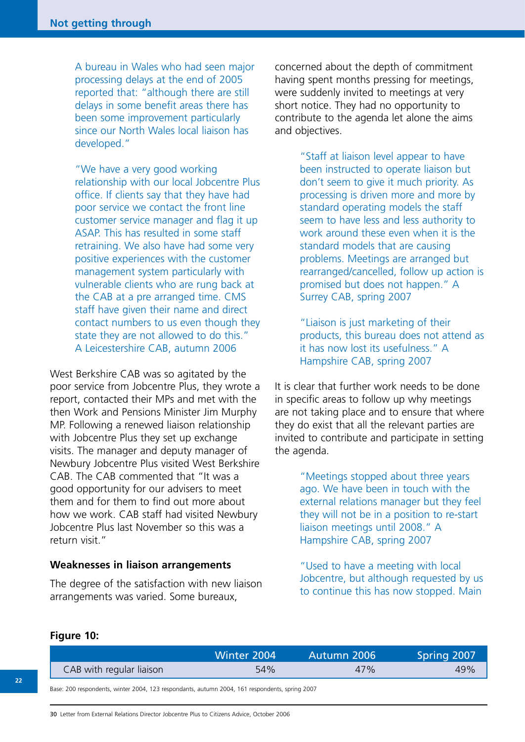A bureau in Wales who had seen major processing delays at the end of 2005 reported that: "although there are still delays in some benefit areas there has been some improvement particularly since our North Wales local liaison has developed."

"We have a very good working relationship with our local Jobcentre Plus office. If clients say that they have had poor service we contact the front line customer service manager and flag it up ASAP. This has resulted in some staff retraining. We also have had some very positive experiences with the customer management system particularly with vulnerable clients who are rung back at the CAB at a pre arranged time. CMS staff have given their name and direct contact numbers to us even though they state they are not allowed to do this." A Leicestershire CAB, autumn 2006

West Berkshire CAB was so agitated by the poor service from Jobcentre Plus, they wrote a report, contacted their MPs and met with the then Work and Pensions Minister Jim Murphy MP. Following a renewed liaison relationship with Jobcentre Plus they set up exchange visits. The manager and deputy manager of Newbury Jobcentre Plus visited West Berkshire CAB. The CAB commented that "It was a good opportunity for our advisers to meet them and for them to find out more about how we work. CAB staff had visited Newbury Jobcentre Plus last November so this was a return visit."

#### **Weaknesses in liaison arrangements**

The degree of the satisfaction with new liaison arrangements was varied. Some bureaux,

concerned about the depth of commitment having spent months pressing for meetings, were suddenly invited to meetings at very short notice. They had no opportunity to contribute to the agenda let alone the aims and objectives.

> "Staff at liaison level appear to have been instructed to operate liaison but don't seem to give it much priority. As processing is driven more and more by standard operating models the staff seem to have less and less authority to work around these even when it is the standard models that are causing problems. Meetings are arranged but rearranged/cancelled, follow up action is promised but does not happen." A Surrey CAB, spring 2007

> "Liaison is just marketing of their products, this bureau does not attend as it has now lost its usefulness." A Hampshire CAB, spring 2007

It is clear that further work needs to be done in specific areas to follow up why meetings are not taking place and to ensure that where they do exist that all the relevant parties are invited to contribute and participate in setting the agenda.

> "Meetings stopped about three years ago. We have been in touch with the external relations manager but they feel they will not be in a position to re-start liaison meetings until 2008." A Hampshire CAB, spring 2007

"Used to have a meeting with local Jobcentre, but although requested by us to continue this has now stopped. Main

#### **Figure 10:**

|                          | Winter 2004 | Autumn 2006 | Spring 2007 |
|--------------------------|-------------|-------------|-------------|
| CAB with regular liaison | 54%         | 47%         | 49%         |
|                          |             |             |             |

Base: 200 respondents, winter 2004, 123 respondants, autumn 2004, 161 respondents, spring 2007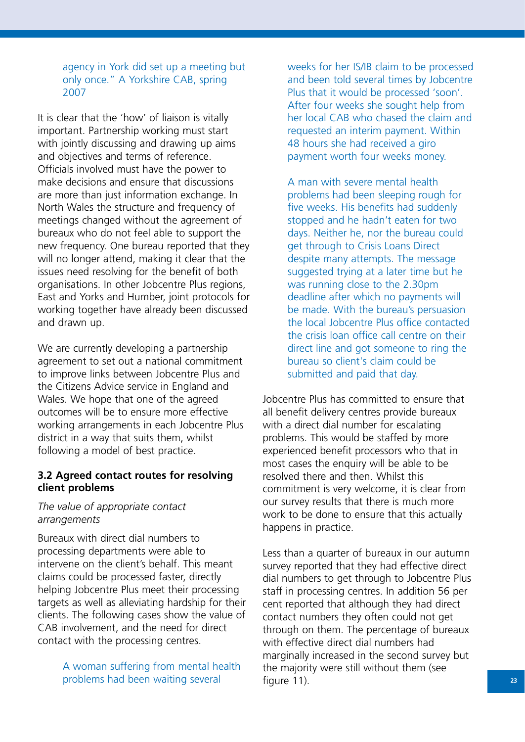agency in York did set up a meeting but only once." A Yorkshire CAB, spring 2007

It is clear that the 'how' of liaison is vitally important. Partnership working must start with jointly discussing and drawing up aims and objectives and terms of reference. Officials involved must have the power to make decisions and ensure that discussions are more than just information exchange. In North Wales the structure and frequency of meetings changed without the agreement of bureaux who do not feel able to support the new frequency. One bureau reported that they will no longer attend, making it clear that the issues need resolving for the benefit of both organisations. In other Jobcentre Plus regions, East and Yorks and Humber, joint protocols for working together have already been discussed and drawn up.

We are currently developing a partnership agreement to set out a national commitment to improve links between Jobcentre Plus and the Citizens Advice service in England and Wales. We hope that one of the agreed outcomes will be to ensure more effective working arrangements in each Jobcentre Plus district in a way that suits them, whilst following a model of best practice.

## **3.2 Agreed contact routes for resolving client problems**

## *The value of appropriate contact arrangements*

Bureaux with direct dial numbers to processing departments were able to intervene on the client's behalf. This meant claims could be processed faster, directly helping Jobcentre Plus meet their processing targets as well as alleviating hardship for their clients. The following cases show the value of CAB involvement, and the need for direct contact with the processing centres.

> A woman suffering from mental health problems had been waiting several

weeks for her IS/IB claim to be processed and been told several times by Jobcentre Plus that it would be processed 'soon'. After four weeks she sought help from her local CAB who chased the claim and requested an interim payment. Within 48 hours she had received a giro payment worth four weeks money.

A man with severe mental health problems had been sleeping rough for five weeks. His benefits had suddenly stopped and he hadn't eaten for two days. Neither he, nor the bureau could get through to Crisis Loans Direct despite many attempts. The message suggested trying at a later time but he was running close to the 2.30pm deadline after which no payments will be made. With the bureau's persuasion the local Jobcentre Plus office contacted the crisis loan office call centre on their direct line and got someone to ring the bureau so client's claim could be submitted and paid that day.

Jobcentre Plus has committed to ensure that all benefit delivery centres provide bureaux with a direct dial number for escalating problems. This would be staffed by more experienced benefit processors who that in most cases the enquiry will be able to be resolved there and then. Whilst this commitment is very welcome, it is clear from our survey results that there is much more work to be done to ensure that this actually happens in practice.

Less than a quarter of bureaux in our autumn survey reported that they had effective direct dial numbers to get through to Jobcentre Plus staff in processing centres. In addition 56 per cent reported that although they had direct contact numbers they often could not get through on them. The percentage of bureaux with effective direct dial numbers had marginally increased in the second survey but the majority were still without them (see figure 11).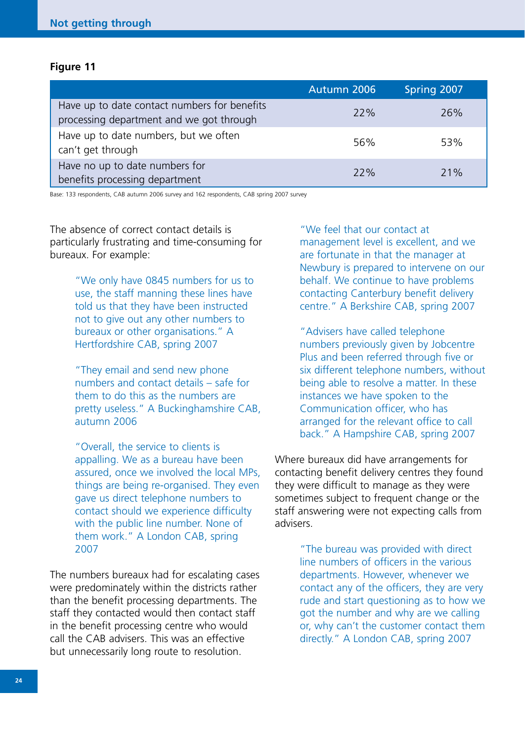#### **Figure 11**

|                                                                                          | Autumn 2006 | Spring 2007 |
|------------------------------------------------------------------------------------------|-------------|-------------|
| Have up to date contact numbers for benefits<br>processing department and we got through | 22%         | 26%         |
| Have up to date numbers, but we often<br>can't get through                               | 56%         | 53%         |
| Have no up to date numbers for<br>benefits processing department                         | 22%         | 71%         |

Base: 133 respondents, CAB autumn 2006 survey and 162 respondents, CAB spring 2007 survey

The absence of correct contact details is particularly frustrating and time-consuming for bureaux. For example:

> "We only have 0845 numbers for us to use, the staff manning these lines have told us that they have been instructed not to give out any other numbers to bureaux or other organisations." A Hertfordshire CAB, spring 2007

"They email and send new phone numbers and contact details – safe for them to do this as the numbers are pretty useless." A Buckinghamshire CAB, autumn 2006

"Overall, the service to clients is appalling. We as a bureau have been assured, once we involved the local MPs, things are being re-organised. They even gave us direct telephone numbers to contact should we experience difficulty with the public line number. None of them work." A London CAB, spring 2007

The numbers bureaux had for escalating cases were predominately within the districts rather than the benefit processing departments. The staff they contacted would then contact staff in the benefit processing centre who would call the CAB advisers. This was an effective but unnecessarily long route to resolution.

"We feel that our contact at management level is excellent, and we are fortunate in that the manager at Newbury is prepared to intervene on our behalf. We continue to have problems contacting Canterbury benefit delivery centre." A Berkshire CAB, spring 2007

"Advisers have called telephone numbers previously given by Jobcentre Plus and been referred through five or six different telephone numbers, without being able to resolve a matter. In these instances we have spoken to the Communication officer, who has arranged for the relevant office to call back." A Hampshire CAB, spring 2007

Where bureaux did have arrangements for contacting benefit delivery centres they found they were difficult to manage as they were sometimes subject to frequent change or the staff answering were not expecting calls from advisers.

> "The bureau was provided with direct line numbers of officers in the various departments. However, whenever we contact any of the officers, they are very rude and start questioning as to how we got the number and why are we calling or, why can't the customer contact them directly." A London CAB, spring 2007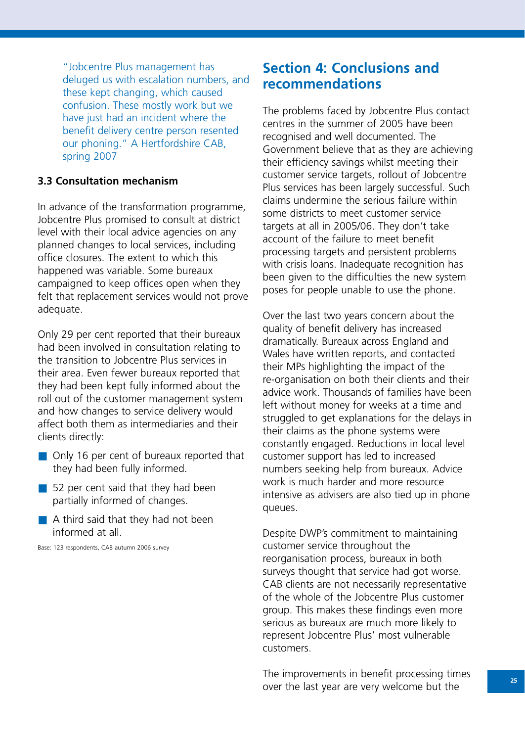"Jobcentre Plus management has deluged us with escalation numbers, and these kept changing, which caused confusion. These mostly work but we have just had an incident where the benefit delivery centre person resented our phoning." A Hertfordshire CAB, spring 2007

# **3.3 Consultation mechanism**

In advance of the transformation programme, Jobcentre Plus promised to consult at district level with their local advice agencies on any planned changes to local services, including office closures. The extent to which this happened was variable. Some bureaux campaigned to keep offices open when they felt that replacement services would not prove adequate.

Only 29 per cent reported that their bureaux had been involved in consultation relating to the transition to Jobcentre Plus services in their area. Even fewer bureaux reported that they had been kept fully informed about the roll out of the customer management system and how changes to service delivery would affect both them as intermediaries and their clients directly:

- Only 16 per cent of bureaux reported that they had been fully informed.
- 52 per cent said that they had been partially informed of changes.
- A third said that they had not been informed at all.

Base: 123 respondents, CAB autumn 2006 survey

# **Section 4: Conclusions and recommendations**

The problems faced by Jobcentre Plus contact centres in the summer of 2005 have been recognised and well documented. The Government believe that as they are achieving their efficiency savings whilst meeting their customer service targets, rollout of Jobcentre Plus services has been largely successful. Such claims undermine the serious failure within some districts to meet customer service targets at all in 2005/06. They don't take account of the failure to meet benefit processing targets and persistent problems with crisis loans. Inadequate recognition has been given to the difficulties the new system poses for people unable to use the phone.

Over the last two years concern about the quality of benefit delivery has increased dramatically. Bureaux across England and Wales have written reports, and contacted their MPs highlighting the impact of the re-organisation on both their clients and their advice work. Thousands of families have been left without money for weeks at a time and struggled to get explanations for the delays in their claims as the phone systems were constantly engaged. Reductions in local level customer support has led to increased numbers seeking help from bureaux. Advice work is much harder and more resource intensive as advisers are also tied up in phone queues.

Despite DWP's commitment to maintaining customer service throughout the reorganisation process, bureaux in both surveys thought that service had got worse. CAB clients are not necessarily representative of the whole of the Jobcentre Plus customer group. This makes these findings even more serious as bureaux are much more likely to represent Jobcentre Plus' most vulnerable customers.

The improvements in benefit processing times over the last year are very welcome but the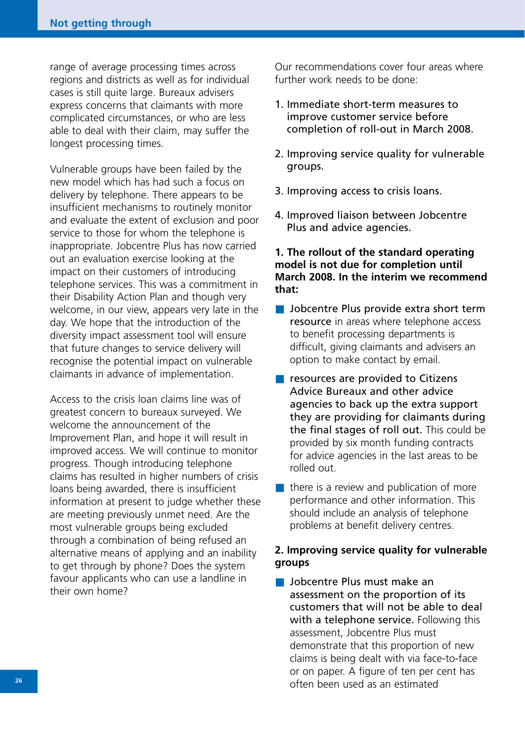range of average processing times across regions and districts as well as for individual cases is still quite large. Bureaux advisers express concerns that claimants with more complicated circumstances, or who are less able to deal with their claim, may suffer the longest processing times.

Vulnerable groups have been failed by the new model which has had such a focus on delivery by telephone. There appears to be insufficient mechanisms to routinely monitor and evaluate the extent of exclusion and poor service to those for whom the telephone is inappropriate. Jobcentre Plus has now carried out an evaluation exercise looking at the impact on their customers of introducing telephone services. This was a commitment in their Disability Action Plan and though very welcome, in our view, appears very late in the day. We hope that the introduction of the diversity impact assessment tool will ensure that future changes to service delivery will recognise the potential impact on vulnerable claimants in advance of implementation.

Access to the crisis loan claims line was of greatest concern to bureaux surveyed. We welcome the announcement of the Improvement Plan, and hope it will result in improved access. We will continue to monitor progress. Though introducing telephone claims has resulted in higher numbers of crisis loans being awarded, there is insufficient information at present to judge whether these are meeting previously unmet need. Are the most vulnerable groups being excluded through a combination of being refused an alternative means of applying and an inability to get through by phone? Does the system favour applicants who can use a landline in their own home?

Our recommendations cover four areas where further work needs to be done:

- 1. Immediate short-term measures to improve customer service before completion of roll-out in March 2008.
- 2. Improving service quality for vulnerable groups.
- 3. Improving access to crisis loans.
- 4. Improved liaison between Jobcentre Plus and advice agencies.

## **1. The rollout of the standard operating model is not due for completion until March 2008. In the interim we recommend that:**

- Jobcentre Plus provide extra short term resource in areas where telephone access to benefit processing departments is difficult, giving claimants and advisers an option to make contact by email.
- resources are provided to Citizens Advice Bureaux and other advice agencies to back up the extra support they are providing for claimants during the final stages of roll out. This could be provided by six month funding contracts for advice agencies in the last areas to be rolled out.
- $\blacksquare$  there is a review and publication of more performance and other information. This should include an analysis of telephone problems at benefit delivery centres.

# **2. Improving service quality for vulnerable groups**

■ Jobcentre Plus must make an assessment on the proportion of its customers that will not be able to deal with a telephone service. Following this assessment, Jobcentre Plus must demonstrate that this proportion of new claims is being dealt with via face-to-face or on paper. A figure of ten per cent has often been used as an estimated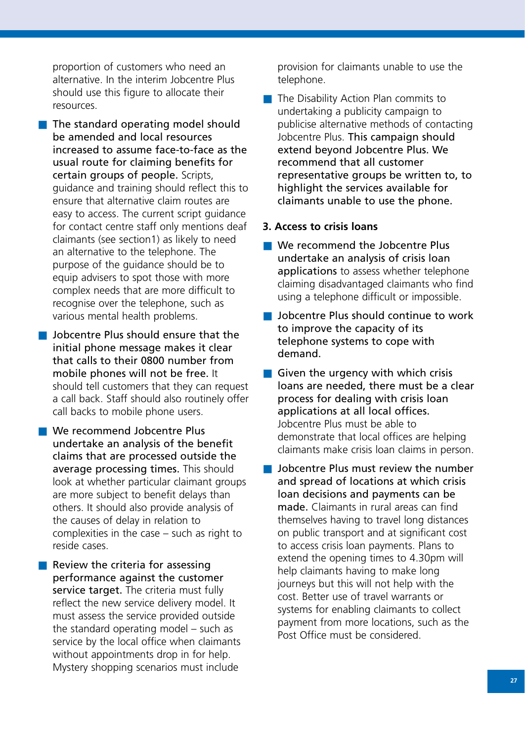proportion of customers who need an alternative. In the interim Jobcentre Plus should use this figure to allocate their resources.

- The standard operating model should be amended and local resources increased to assume face-to-face as the usual route for claiming benefits for certain groups of people. Scripts, guidance and training should reflect this to ensure that alternative claim routes are easy to access. The current script guidance for contact centre staff only mentions deaf claimants (see section1) as likely to need an alternative to the telephone. The purpose of the guidance should be to equip advisers to spot those with more complex needs that are more difficult to recognise over the telephone, such as various mental health problems.
- Jobcentre Plus should ensure that the initial phone message makes it clear that calls to their 0800 number from mobile phones will not be free. It should tell customers that they can request a call back. Staff should also routinely offer call backs to mobile phone users.
- We recommend Jobcentre Plus undertake an analysis of the benefit claims that are processed outside the average processing times. This should look at whether particular claimant groups are more subject to benefit delays than others. It should also provide analysis of the causes of delay in relation to complexities in the case – such as right to reside cases.
- $\blacksquare$  Review the criteria for assessing performance against the customer service target. The criteria must fully reflect the new service delivery model. It must assess the service provided outside the standard operating model – such as service by the local office when claimants without appointments drop in for help. Mystery shopping scenarios must include

provision for claimants unable to use the telephone.

■ The Disability Action Plan commits to undertaking a publicity campaign to publicise alternative methods of contacting Jobcentre Plus. This campaign should extend beyond Jobcentre Plus. We recommend that all customer representative groups be written to, to highlight the services available for claimants unable to use the phone.

#### **3. Access to crisis loans**

- We recommend the Jobcentre Plus undertake an analysis of crisis loan applications to assess whether telephone claiming disadvantaged claimants who find using a telephone difficult or impossible.
- Jobcentre Plus should continue to work to improve the capacity of its telephone systems to cope with demand.
- Given the urgency with which crisis loans are needed, there must be a clear process for dealing with crisis loan applications at all local offices. Jobcentre Plus must be able to demonstrate that local offices are helping claimants make crisis loan claims in person.
- Jobcentre Plus must review the number and spread of locations at which crisis loan decisions and payments can be made. Claimants in rural areas can find themselves having to travel long distances on public transport and at significant cost to access crisis loan payments. Plans to extend the opening times to 4.30pm will help claimants having to make long journeys but this will not help with the cost. Better use of travel warrants or systems for enabling claimants to collect payment from more locations, such as the Post Office must be considered.